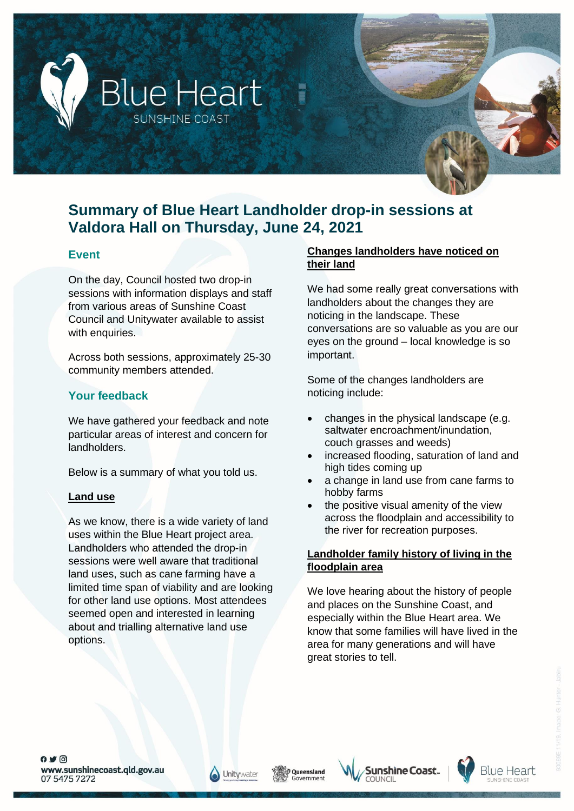

# **Summary of Blue Heart Landholder drop-in sessions at Valdora Hall on Thursday, June 24, 2021**

## **Event**

On the day, Council hosted two drop-in sessions with information displays and staff from various areas of Sunshine Coast Council and Unitywater available to assist with enquiries.

Across both sessions, approximately 25-30 community members attended.

# **Your feedback**

We have gathered your feedback and note particular areas of interest and concern for landholders.

Below is a summary of what you told us.

### **Land use**

As we know, there is a wide variety of land uses within the Blue Heart project area. Landholders who attended the drop-in sessions were well aware that traditional land uses, such as cane farming have a limited time span of viability and are looking for other land use options. Most attendees seemed open and interested in learning about and trialling alternative land use options.

#### **Changes landholders have noticed on their land**

We had some really great conversations with landholders about the changes they are noticing in the landscape. These conversations are so valuable as you are our eyes on the ground – local knowledge is so important.

Some of the changes landholders are noticing include:

- changes in the physical landscape (e.g. saltwater encroachment/inundation, couch grasses and weeds)
- increased flooding, saturation of land and high tides coming up
- a change in land use from cane farms to hobby farms
- the positive visual amenity of the view across the floodplain and accessibility to the river for recreation purposes.

#### **Landholder family history of living in the floodplain area**

We love hearing about the history of people and places on the Sunshine Coast, and especially within the Blue Heart area. We know that some families will have lived in the area for many generations and will have great stories to tell.

 $Q \vee Q$ www.sunshinecoast.qld.gov.au 07 5475 7272



.<br>∥ Oueensland





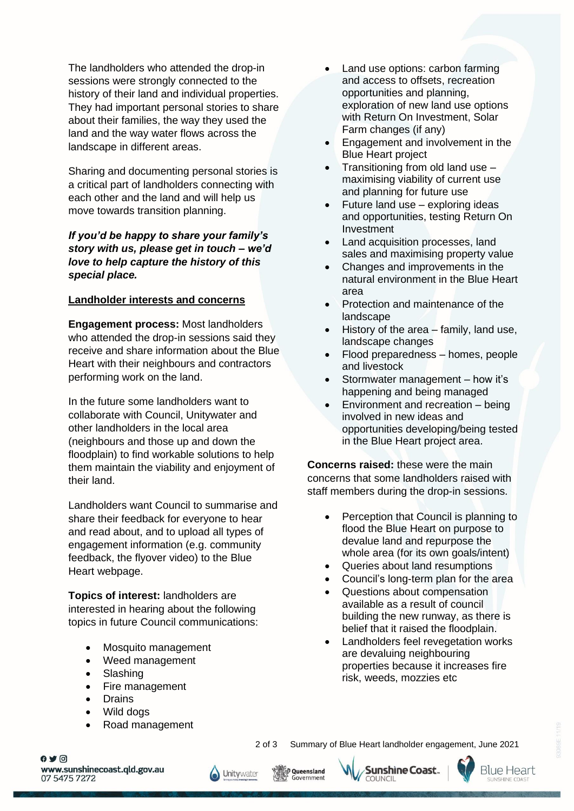The landholders who attended the drop-in sessions were strongly connected to the history of their land and individual properties. They had important personal stories to share about their families, the way they used the land and the way water flows across the landscape in different areas.

Sharing and documenting personal stories is a critical part of landholders connecting with each other and the land and will help us move towards transition planning.

#### *If you'd be happy to share your family's story with us, please get in touch – we'd love to help capture the history of this special place.*

#### **Landholder interests and concerns**

**Engagement process:** Most landholders who attended the drop-in sessions said they receive and share information about the Blue Heart with their neighbours and contractors performing work on the land.

In the future some landholders want to collaborate with Council, Unitywater and other landholders in the local area (neighbours and those up and down the floodplain) to find workable solutions to help them maintain the viability and enjoyment of their land.

Landholders want Council to summarise and share their feedback for everyone to hear and read about, and to upload all types of engagement information (e.g. community feedback, the flyover video) to the Blue Heart webpage.

**Topics of interest:** landholders are interested in hearing about the following topics in future Council communications:

- Mosquito management
- Weed management
- Slashing
- Fire management
- Drains
- Wild dogs
- Road management
- Land use options: carbon farming and access to offsets, recreation opportunities and planning, exploration of new land use options with Return On Investment, Solar Farm changes (if any)
- Engagement and involvement in the Blue Heart project
- Transitioning from old land use maximising viability of current use and planning for future use
- Future land use exploring ideas and opportunities, testing Return On Investment
- Land acquisition processes, land sales and maximising property value
- Changes and improvements in the natural environment in the Blue Heart area
- Protection and maintenance of the landscape
- History of the area family, land use, landscape changes
- Flood preparedness homes, people and livestock
- Stormwater management how it's happening and being managed
- Environment and recreation being involved in new ideas and opportunities developing/being tested in the Blue Heart project area.

**Concerns raised:** these were the main concerns that some landholders raised with staff members during the drop-in sessions.

- Perception that Council is planning to flood the Blue Heart on purpose to devalue land and repurpose the whole area (for its own goals/intent)
- Queries about land resumptions
- Council's long-term plan for the area
- Questions about compensation available as a result of council building the new runway, as there is belief that it raised the floodplain.
- Landholders feel revegetation works are devaluing neighbouring properties because it increases fire risk, weeds, mozzies etc

 $0 \vee 0$ www.sunshinecoast.qld.gov.au 07 5475 7272



**Dueensland** 



2 of 3 Summary of Blue Heart landholder engagement, June 2021